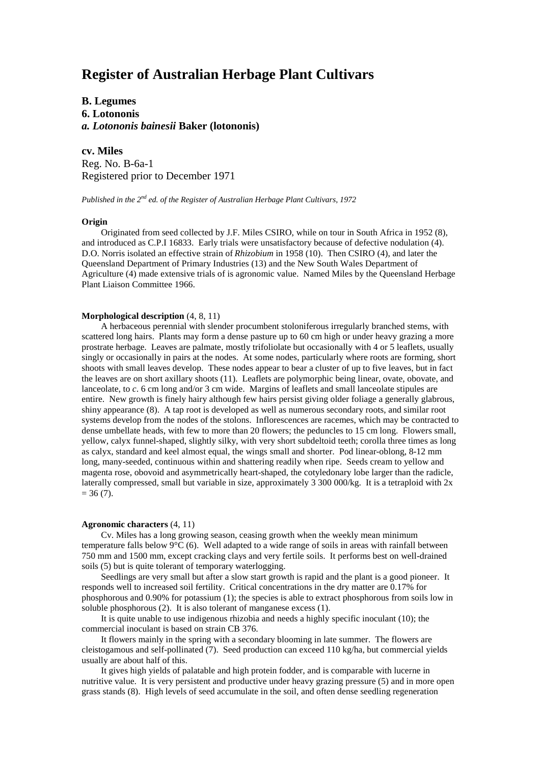# **Register of Australian Herbage Plant Cultivars**

## **B. Legumes 6. Lotononis** *a. Lotononis bainesii* **Baker (lotononis)**

**cv. Miles** Reg. No. B-6a-1 Registered prior to December 1971

*Published in the 2nd ed. of the Register of Australian Herbage Plant Cultivars, 1972*

#### **Origin**

Originated from seed collected by J.F. Miles CSIRO, while on tour in South Africa in 1952 (8), and introduced as C.P.I 16833. Early trials were unsatisfactory because of defective nodulation (4). D.O. Norris isolated an effective strain of *Rhizobium* in 1958 (10). Then CSIRO (4), and later the Queensland Department of Primary Industries (13) and the New South Wales Department of Agriculture (4) made extensive trials of is agronomic value. Named Miles by the Queensland Herbage Plant Liaison Committee 1966.

### **Morphological description** (4, 8, 11)

A herbaceous perennial with slender procumbent stoloniferous irregularly branched stems, with scattered long hairs. Plants may form a dense pasture up to 60 cm high or under heavy grazing a more prostrate herbage. Leaves are palmate, mostly trifoliolate but occasionally with 4 or 5 leaflets, usually singly or occasionally in pairs at the nodes. At some nodes, particularly where roots are forming, short shoots with small leaves develop. These nodes appear to bear a cluster of up to five leaves, but in fact the leaves are on short axillary shoots (11). Leaflets are polymorphic being linear, ovate, obovate, and lanceolate, to *c*. 6 cm long and/or 3 cm wide. Margins of leaflets and small lanceolate stipules are entire. New growth is finely hairy although few hairs persist giving older foliage a generally glabrous, shiny appearance (8). A tap root is developed as well as numerous secondary roots, and similar root systems develop from the nodes of the stolons. Inflorescences are racemes, which may be contracted to dense umbellate heads, with few to more than 20 flowers; the peduncles to 15 cm long. Flowers small, yellow, calyx funnel-shaped, slightly silky, with very short subdeltoid teeth; corolla three times as long as calyx, standard and keel almost equal, the wings small and shorter. Pod linear-oblong, 8-12 mm long, many-seeded, continuous within and shattering readily when ripe. Seeds cream to yellow and magenta rose, obovoid and asymmetrically heart-shaped, the cotyledonary lobe larger than the radicle, laterally compressed, small but variable in size, approximately  $3\,300\,000/\text{kg}$ . It is a tetraploid with  $2x$  $= 36 (7).$ 

#### **Agronomic characters** (4, 11)

Cv. Miles has a long growing season, ceasing growth when the weekly mean minimum temperature falls below  $9^{\circ}C$  (6). Well adapted to a wide range of soils in areas with rainfall between 750 mm and 1500 mm, except cracking clays and very fertile soils. It performs best on well-drained soils (5) but is quite tolerant of temporary waterlogging.

Seedlings are very small but after a slow start growth is rapid and the plant is a good pioneer. It responds well to increased soil fertility. Critical concentrations in the dry matter are 0.17% for phosphorous and 0.90% for potassium (1); the species is able to extract phosphorous from soils low in soluble phosphorous (2). It is also tolerant of manganese excess (1).

It is quite unable to use indigenous rhizobia and needs a highly specific inoculant (10); the commercial inoculant is based on strain CB 376.

It flowers mainly in the spring with a secondary blooming in late summer. The flowers are cleistogamous and self-pollinated (7). Seed production can exceed 110 kg/ha, but commercial yields usually are about half of this.

It gives high yields of palatable and high protein fodder, and is comparable with lucerne in nutritive value. It is very persistent and productive under heavy grazing pressure (5) and in more open grass stands (8). High levels of seed accumulate in the soil, and often dense seedling regeneration